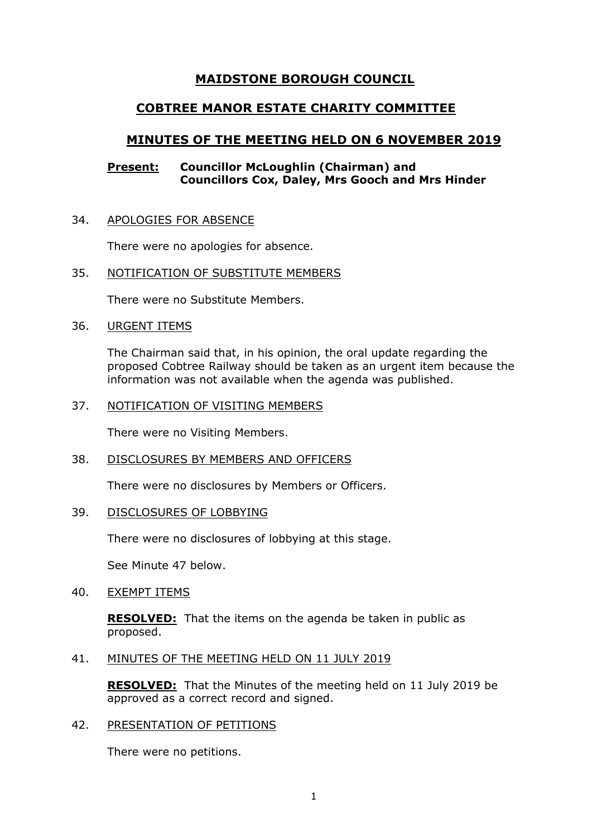# **MAIDSTONE BOROUGH COUNCIL**

## **COBTREE MANOR ESTATE CHARITY COMMITTEE**

# **MINUTES OF THE MEETING HELD ON 6 NOVEMBER 2019**

## **Present: Councillor McLoughlin (Chairman) and Councillors Cox, Daley, Mrs Gooch and Mrs Hinder**

#### 34. APOLOGIES FOR ABSENCE

There were no apologies for absence.

#### 35. NOTIFICATION OF SUBSTITUTE MEMBERS

There were no Substitute Members.

#### 36. URGENT ITEMS

The Chairman said that, in his opinion, the oral update regarding the proposed Cobtree Railway should be taken as an urgent item because the information was not available when the agenda was published.

#### 37. NOTIFICATION OF VISITING MEMBERS

There were no Visiting Members.

## 38. DISCLOSURES BY MEMBERS AND OFFICERS

There were no disclosures by Members or Officers.

## 39. DISCLOSURES OF LOBBYING

There were no disclosures of lobbying at this stage.

See Minute 47 below.

#### 40. EXEMPT ITEMS

**RESOLVED:** That the items on the agenda be taken in public as proposed.

#### 41. MINUTES OF THE MEETING HELD ON 11 JULY 2019

**RESOLVED:** That the Minutes of the meeting held on 11 July 2019 be approved as a correct record and signed.

## 42. PRESENTATION OF PETITIONS

There were no petitions.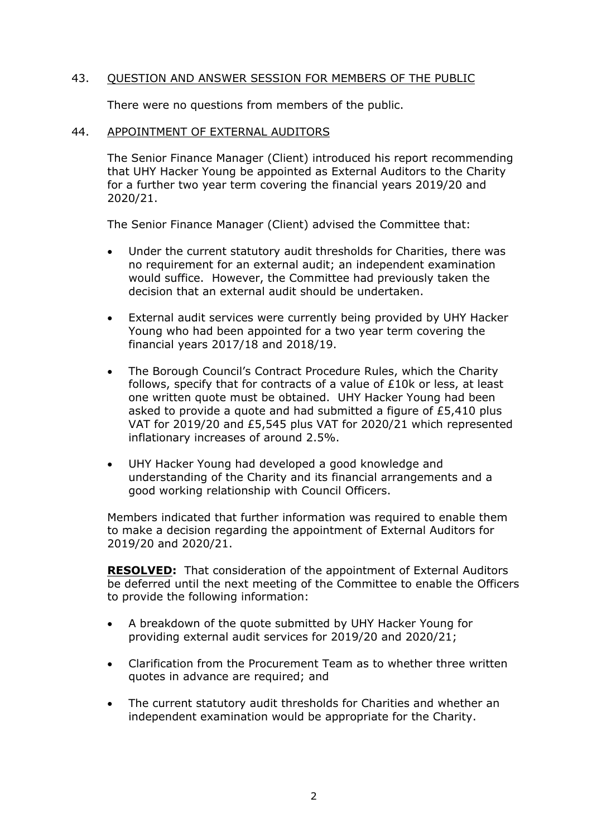## 43. QUESTION AND ANSWER SESSION FOR MEMBERS OF THE PUBLIC

There were no questions from members of the public.

#### 44. APPOINTMENT OF EXTERNAL AUDITORS

The Senior Finance Manager (Client) introduced his report recommending that UHY Hacker Young be appointed as External Auditors to the Charity for a further two year term covering the financial years 2019/20 and 2020/21.

The Senior Finance Manager (Client) advised the Committee that:

- Under the current statutory audit thresholds for Charities, there was no requirement for an external audit; an independent examination would suffice. However, the Committee had previously taken the decision that an external audit should be undertaken.
- External audit services were currently being provided by UHY Hacker Young who had been appointed for a two year term covering the financial years 2017/18 and 2018/19.
- The Borough Council's Contract Procedure Rules, which the Charity follows, specify that for contracts of a value of £10k or less, at least one written quote must be obtained. UHY Hacker Young had been asked to provide a quote and had submitted a figure of £5,410 plus VAT for 2019/20 and £5,545 plus VAT for 2020/21 which represented inflationary increases of around 2.5%.
- UHY Hacker Young had developed a good knowledge and understanding of the Charity and its financial arrangements and a good working relationship with Council Officers.

Members indicated that further information was required to enable them to make a decision regarding the appointment of External Auditors for 2019/20 and 2020/21.

**RESOLVED:** That consideration of the appointment of External Auditors be deferred until the next meeting of the Committee to enable the Officers to provide the following information:

- A breakdown of the quote submitted by UHY Hacker Young for providing external audit services for 2019/20 and 2020/21;
- Clarification from the Procurement Team as to whether three written quotes in advance are required; and
- The current statutory audit thresholds for Charities and whether an independent examination would be appropriate for the Charity.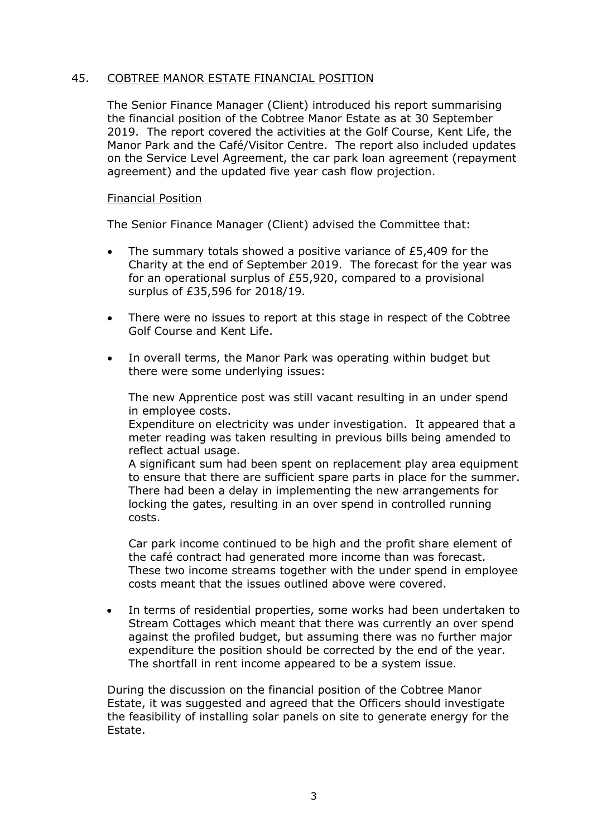## 45. COBTREE MANOR ESTATE FINANCIAL POSITION

The Senior Finance Manager (Client) introduced his report summarising the financial position of the Cobtree Manor Estate as at 30 September 2019. The report covered the activities at the Golf Course, Kent Life, the Manor Park and the Café/Visitor Centre. The report also included updates on the Service Level Agreement, the car park loan agreement (repayment agreement) and the updated five year cash flow projection.

## Financial Position

The Senior Finance Manager (Client) advised the Committee that:

- The summary totals showed a positive variance of £5,409 for the Charity at the end of September 2019. The forecast for the year was for an operational surplus of £55,920, compared to a provisional surplus of £35,596 for 2018/19.
- There were no issues to report at this stage in respect of the Cobtree Golf Course and Kent Life.
- In overall terms, the Manor Park was operating within budget but there were some underlying issues:

The new Apprentice post was still vacant resulting in an under spend in employee costs.

Expenditure on electricity was under investigation. It appeared that a meter reading was taken resulting in previous bills being amended to reflect actual usage.

A significant sum had been spent on replacement play area equipment to ensure that there are sufficient spare parts in place for the summer. There had been a delay in implementing the new arrangements for locking the gates, resulting in an over spend in controlled running costs.

Car park income continued to be high and the profit share element of the café contract had generated more income than was forecast. These two income streams together with the under spend in employee costs meant that the issues outlined above were covered.

 In terms of residential properties, some works had been undertaken to Stream Cottages which meant that there was currently an over spend against the profiled budget, but assuming there was no further major expenditure the position should be corrected by the end of the year. The shortfall in rent income appeared to be a system issue.

During the discussion on the financial position of the Cobtree Manor Estate, it was suggested and agreed that the Officers should investigate the feasibility of installing solar panels on site to generate energy for the Estate.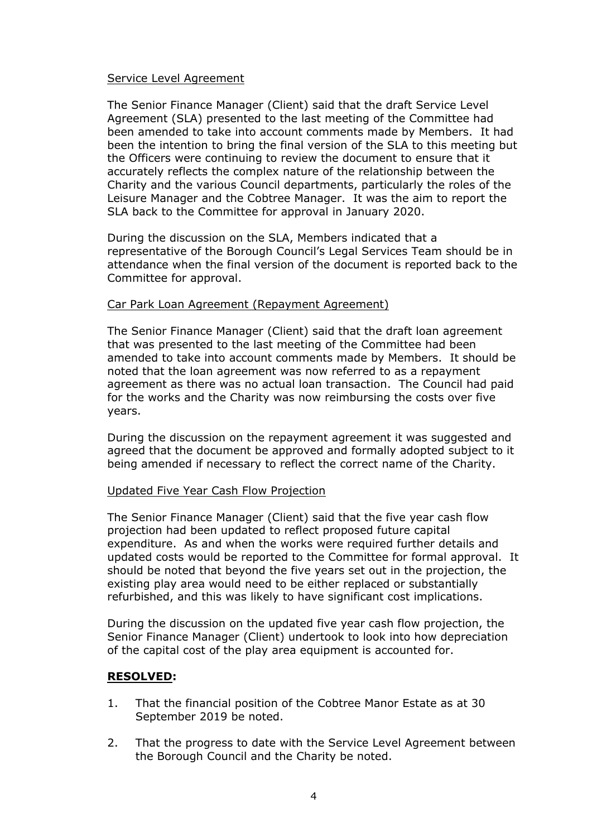## Service Level Agreement

The Senior Finance Manager (Client) said that the draft Service Level Agreement (SLA) presented to the last meeting of the Committee had been amended to take into account comments made by Members. It had been the intention to bring the final version of the SLA to this meeting but the Officers were continuing to review the document to ensure that it accurately reflects the complex nature of the relationship between the Charity and the various Council departments, particularly the roles of the Leisure Manager and the Cobtree Manager. It was the aim to report the SLA back to the Committee for approval in January 2020.

During the discussion on the SLA, Members indicated that a representative of the Borough Council's Legal Services Team should be in attendance when the final version of the document is reported back to the Committee for approval.

## Car Park Loan Agreement (Repayment Agreement)

The Senior Finance Manager (Client) said that the draft loan agreement that was presented to the last meeting of the Committee had been amended to take into account comments made by Members. It should be noted that the loan agreement was now referred to as a repayment agreement as there was no actual loan transaction. The Council had paid for the works and the Charity was now reimbursing the costs over five years.

During the discussion on the repayment agreement it was suggested and agreed that the document be approved and formally adopted subject to it being amended if necessary to reflect the correct name of the Charity.

## Updated Five Year Cash Flow Projection

The Senior Finance Manager (Client) said that the five year cash flow projection had been updated to reflect proposed future capital expenditure. As and when the works were required further details and updated costs would be reported to the Committee for formal approval. It should be noted that beyond the five years set out in the projection, the existing play area would need to be either replaced or substantially refurbished, and this was likely to have significant cost implications.

During the discussion on the updated five year cash flow projection, the Senior Finance Manager (Client) undertook to look into how depreciation of the capital cost of the play area equipment is accounted for.

## **RESOLVED:**

- 1. That the financial position of the Cobtree Manor Estate as at 30 September 2019 be noted.
- 2. That the progress to date with the Service Level Agreement between the Borough Council and the Charity be noted.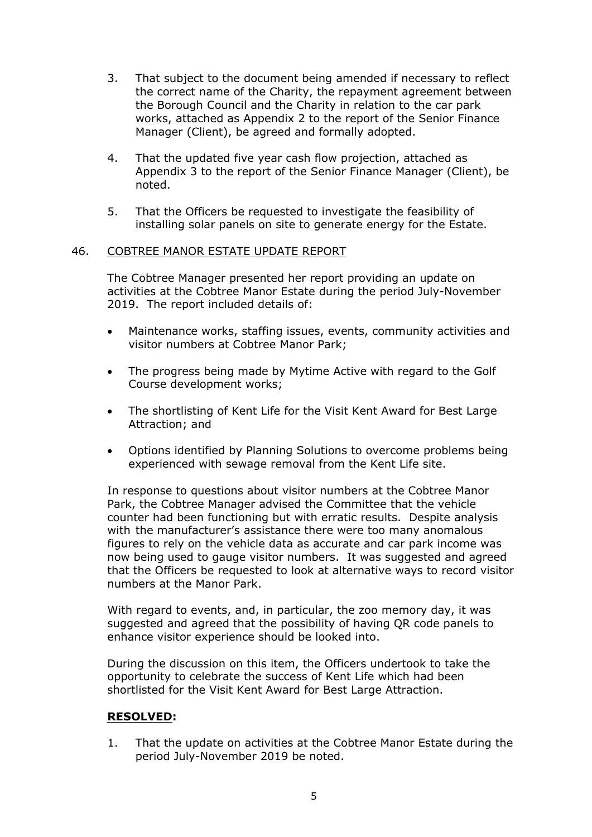- 3. That subject to the document being amended if necessary to reflect the correct name of the Charity, the repayment agreement between the Borough Council and the Charity in relation to the car park works, attached as Appendix 2 to the report of the Senior Finance Manager (Client), be agreed and formally adopted.
- 4. That the updated five year cash flow projection, attached as Appendix 3 to the report of the Senior Finance Manager (Client), be noted.
- 5. That the Officers be requested to investigate the feasibility of installing solar panels on site to generate energy for the Estate.

## 46. COBTREE MANOR ESTATE UPDATE REPORT

The Cobtree Manager presented her report providing an update on activities at the Cobtree Manor Estate during the period July-November 2019. The report included details of:

- Maintenance works, staffing issues, events, community activities and visitor numbers at Cobtree Manor Park;
- The progress being made by Mytime Active with regard to the Golf Course development works;
- The shortlisting of Kent Life for the Visit Kent Award for Best Large Attraction; and
- Options identified by Planning Solutions to overcome problems being experienced with sewage removal from the Kent Life site.

In response to questions about visitor numbers at the Cobtree Manor Park, the Cobtree Manager advised the Committee that the vehicle counter had been functioning but with erratic results. Despite analysis with the manufacturer's assistance there were too many anomalous figures to rely on the vehicle data as accurate and car park income was now being used to gauge visitor numbers. It was suggested and agreed that the Officers be requested to look at alternative ways to record visitor numbers at the Manor Park.

With regard to events, and, in particular, the zoo memory day, it was suggested and agreed that the possibility of having QR code panels to enhance visitor experience should be looked into.

During the discussion on this item, the Officers undertook to take the opportunity to celebrate the success of Kent Life which had been shortlisted for the Visit Kent Award for Best Large Attraction.

## **RESOLVED:**

1. That the update on activities at the Cobtree Manor Estate during the period July-November 2019 be noted.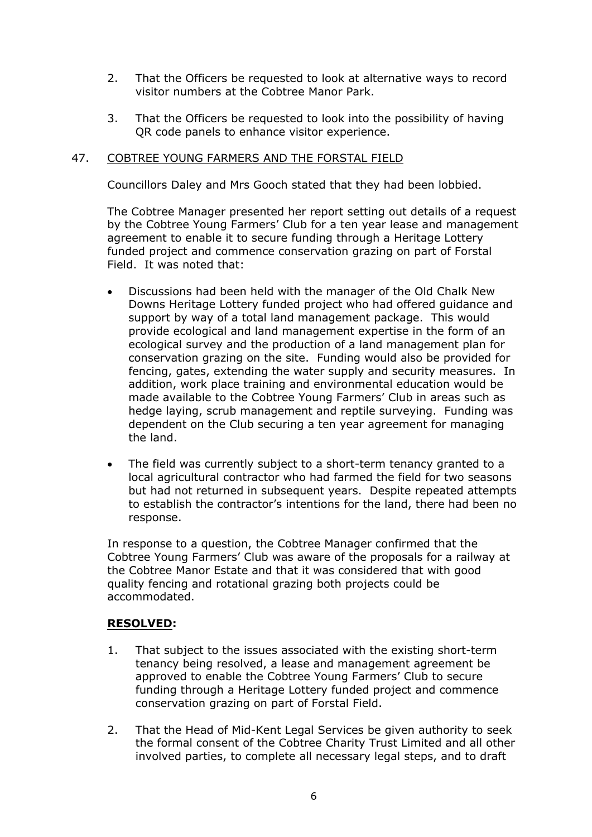- 2. That the Officers be requested to look at alternative ways to record visitor numbers at the Cobtree Manor Park.
- 3. That the Officers be requested to look into the possibility of having QR code panels to enhance visitor experience.

## 47. COBTREE YOUNG FARMERS AND THE FORSTAL FIELD

Councillors Daley and Mrs Gooch stated that they had been lobbied.

The Cobtree Manager presented her report setting out details of a request by the Cobtree Young Farmers' Club for a ten year lease and management agreement to enable it to secure funding through a Heritage Lottery funded project and commence conservation grazing on part of Forstal Field. It was noted that:

- Discussions had been held with the manager of the Old Chalk New Downs Heritage Lottery funded project who had offered guidance and support by way of a total land management package. This would provide ecological and land management expertise in the form of an ecological survey and the production of a land management plan for conservation grazing on the site. Funding would also be provided for fencing, gates, extending the water supply and security measures. In addition, work place training and environmental education would be made available to the Cobtree Young Farmers' Club in areas such as hedge laying, scrub management and reptile surveying. Funding was dependent on the Club securing a ten year agreement for managing the land.
- The field was currently subject to a short-term tenancy granted to a local agricultural contractor who had farmed the field for two seasons but had not returned in subsequent years. Despite repeated attempts to establish the contractor's intentions for the land, there had been no response.

In response to a question, the Cobtree Manager confirmed that the Cobtree Young Farmers' Club was aware of the proposals for a railway at the Cobtree Manor Estate and that it was considered that with good quality fencing and rotational grazing both projects could be accommodated.

## **RESOLVED:**

- 1. That subject to the issues associated with the existing short-term tenancy being resolved, a lease and management agreement be approved to enable the Cobtree Young Farmers' Club to secure funding through a Heritage Lottery funded project and commence conservation grazing on part of Forstal Field.
- 2. That the Head of Mid-Kent Legal Services be given authority to seek the formal consent of the Cobtree Charity Trust Limited and all other involved parties, to complete all necessary legal steps, and to draft